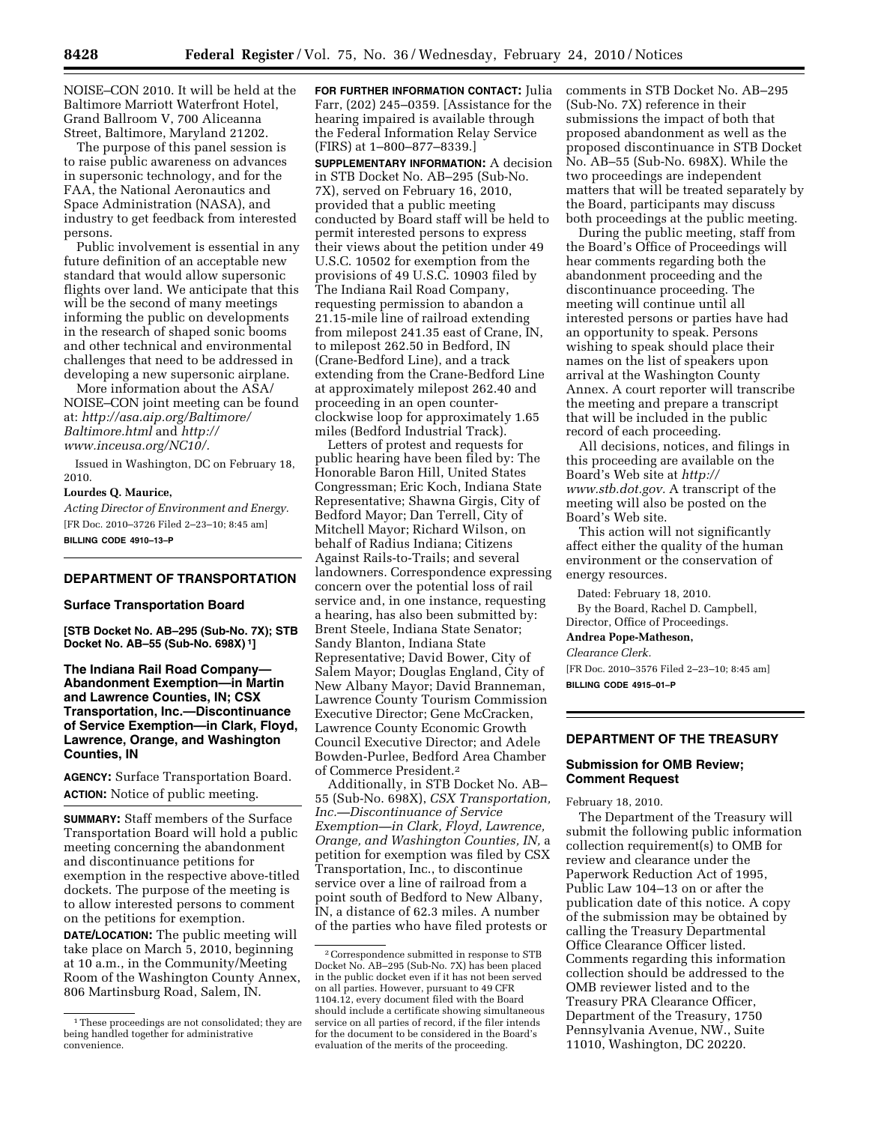NOISE–CON 2010. It will be held at the Baltimore Marriott Waterfront Hotel, Grand Ballroom V, 700 Aliceanna Street, Baltimore, Maryland 21202.

The purpose of this panel session is to raise public awareness on advances in supersonic technology, and for the FAA, the National Aeronautics and Space Administration (NASA), and industry to get feedback from interested persons.

Public involvement is essential in any future definition of an acceptable new standard that would allow supersonic flights over land. We anticipate that this will be the second of many meetings informing the public on developments in the research of shaped sonic booms and other technical and environmental challenges that need to be addressed in developing a new supersonic airplane.

More information about the ASA/ NOISE–CON joint meeting can be found at: *http://asa.aip.org/Baltimore/ Baltimore.html* and *http:// www.inceusa.org/NC10/.* 

Issued in Washington, DC on February 18, 2010.

#### **Lourdes Q. Maurice,**

*Acting Director of Environment and Energy.*  [FR Doc. 2010–3726 Filed 2–23–10; 8:45 am] **BILLING CODE 4910–13–P** 

#### **DEPARTMENT OF TRANSPORTATION**

#### **Surface Transportation Board**

**[STB Docket No. AB–295 (Sub-No. 7X); STB Docket No. AB–55 (Sub-No. 698X) 1]** 

**The Indiana Rail Road Company— Abandonment Exemption—in Martin and Lawrence Counties, IN; CSX Transportation, Inc.—Discontinuance of Service Exemption—in Clark, Floyd, Lawrence, Orange, and Washington Counties, IN** 

**AGENCY:** Surface Transportation Board. **ACTION:** Notice of public meeting.

**SUMMARY:** Staff members of the Surface Transportation Board will hold a public meeting concerning the abandonment and discontinuance petitions for exemption in the respective above-titled dockets. The purpose of the meeting is to allow interested persons to comment on the petitions for exemption.

**DATE/LOCATION:** The public meeting will take place on March 5, 2010, beginning at 10 a.m., in the Community/Meeting Room of the Washington County Annex, 806 Martinsburg Road, Salem, IN.

**FOR FURTHER INFORMATION CONTACT:** Julia Farr, (202) 245–0359. [Assistance for the hearing impaired is available through the Federal Information Relay Service (FIRS) at 1–800–877–8339.]

**SUPPLEMENTARY INFORMATION:** A decision in STB Docket No. AB–295 (Sub-No. 7X), served on February 16, 2010, provided that a public meeting conducted by Board staff will be held to permit interested persons to express their views about the petition under 49 U.S.C. 10502 for exemption from the provisions of 49 U.S.C. 10903 filed by The Indiana Rail Road Company, requesting permission to abandon a 21.15-mile line of railroad extending from milepost 241.35 east of Crane, IN, to milepost 262.50 in Bedford, IN (Crane-Bedford Line), and a track extending from the Crane-Bedford Line at approximately milepost 262.40 and proceeding in an open counterclockwise loop for approximately 1.65 miles (Bedford Industrial Track).

Letters of protest and requests for public hearing have been filed by: The Honorable Baron Hill, United States Congressman; Eric Koch, Indiana State Representative; Shawna Girgis, City of Bedford Mayor; Dan Terrell, City of Mitchell Mayor; Richard Wilson, on behalf of Radius Indiana; Citizens Against Rails-to-Trails; and several landowners. Correspondence expressing concern over the potential loss of rail service and, in one instance, requesting a hearing, has also been submitted by: Brent Steele, Indiana State Senator; Sandy Blanton, Indiana State Representative; David Bower, City of Salem Mayor; Douglas England, City of New Albany Mayor; David Branneman, Lawrence County Tourism Commission Executive Director; Gene McCracken, Lawrence County Economic Growth Council Executive Director; and Adele Bowden-Purlee, Bedford Area Chamber of Commerce President.2

Additionally, in STB Docket No. AB– 55 (Sub-No. 698X), *CSX Transportation, Inc.—Discontinuance of Service Exemption—in Clark, Floyd, Lawrence, Orange, and Washington Counties, IN,* a petition for exemption was filed by CSX Transportation, Inc., to discontinue service over a line of railroad from a point south of Bedford to New Albany, IN, a distance of 62.3 miles. A number of the parties who have filed protests or

comments in STB Docket No. AB–295 (Sub-No. 7X) reference in their submissions the impact of both that proposed abandonment as well as the proposed discontinuance in STB Docket No. AB–55 (Sub-No. 698X). While the two proceedings are independent matters that will be treated separately by the Board, participants may discuss both proceedings at the public meeting.

During the public meeting, staff from the Board's Office of Proceedings will hear comments regarding both the abandonment proceeding and the discontinuance proceeding. The meeting will continue until all interested persons or parties have had an opportunity to speak. Persons wishing to speak should place their names on the list of speakers upon arrival at the Washington County Annex. A court reporter will transcribe the meeting and prepare a transcript that will be included in the public record of each proceeding.

All decisions, notices, and filings in this proceeding are available on the Board's Web site at *http:// www.stb.dot.gov.* A transcript of the meeting will also be posted on the Board's Web site.

This action will not significantly affect either the quality of the human environment or the conservation of energy resources.

Dated: February 18, 2010. By the Board, Rachel D. Campbell, Director, Office of Proceedings.

# **Andrea Pope-Matheson,**

*Clearance Clerk.* 

[FR Doc. 2010–3576 Filed 2–23–10; 8:45 am] **BILLING CODE 4915–01–P** 

### **DEPARTMENT OF THE TREASURY**

### **Submission for OMB Review; Comment Request**

February 18, 2010.

The Department of the Treasury will submit the following public information collection requirement(s) to OMB for review and clearance under the Paperwork Reduction Act of 1995, Public Law 104–13 on or after the publication date of this notice. A copy of the submission may be obtained by calling the Treasury Departmental Office Clearance Officer listed. Comments regarding this information collection should be addressed to the OMB reviewer listed and to the Treasury PRA Clearance Officer, Department of the Treasury, 1750 Pennsylvania Avenue, NW., Suite 11010, Washington, DC 20220.

<sup>1</sup>These proceedings are not consolidated; they are being handled together for administrative convenience.

<sup>2</sup>Correspondence submitted in response to STB Docket No. AB–295 (Sub-No. 7X) has been placed in the public docket even if it has not been served on all parties. However, pursuant to 49 CFR 1104.12, every document filed with the Board should include a certificate showing simultaneous service on all parties of record, if the filer intends for the document to be considered in the Board's evaluation of the merits of the proceeding.